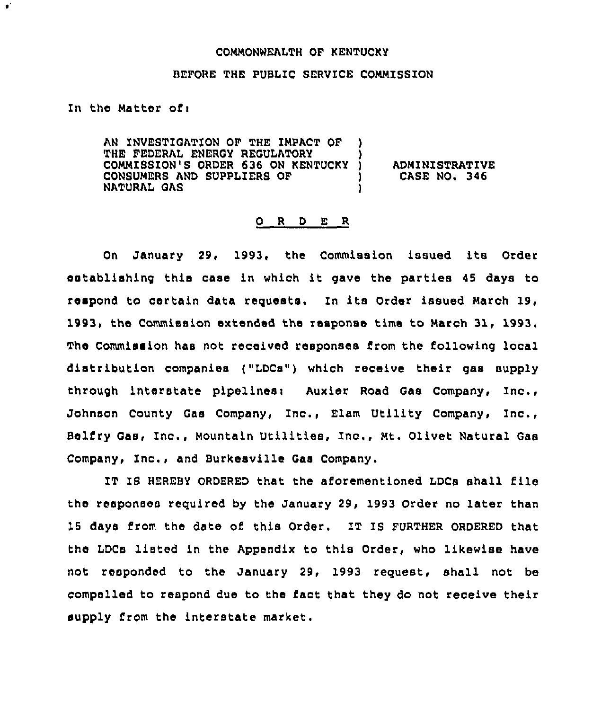## COMMONWEALTH OF KENTUCKY

## BEFORE THE PUBLIC SERVICE COMMISSION

In the Matter of  $\mathbf{r}$ 

 $\bullet$ 

AN INVESTIGATION OF THE IMPACT OF THE FEDERAL ENERGY REGULATORY COMMISSION'S ORDER 636 ON KENTUCKY CONSUMERS AND SUPPLIERS OF NATURAL GAS ) ) )

) ADMINISTRATIVE<br>) CASE NO. 346 ) CASE NO. 346

## 0 <sup>R</sup> <sup>D</sup> E <sup>R</sup>

On January 29, 1993, the Commission issued its Order establishing this case in which it gave the parties <sup>45</sup> days to respond to certain data requests. In its Order issued March 19, 1993, the Commission extended the response time to March 31, 1993. The Commission has not received responses from the following local distribution companies ("LDCs") which receive their gas supply through interstate pipelines: Auxier Road Gas Company, Inc., Johnson County Gas Company, Znc., Elam Utility Company, Inc., Belfry Gas, Inc., Mountain Utilities, Inc., Mt. Olivet Natural Gas Company, Znc., and Burkesville Gas Company.

IT IS HEREBY ORDERED that the aforementioned LDCs shall file the responses required by the January 29, 1993 Order no later than 15 days from the date of this Order. IT IS FURTHER ORDERED that the LDCs listed in the Appendix to this Order, who likewise have not responded to the January 29, 1993 request, shall not be compelled to respond due to the fact that they do not receive their supply from the interstate market.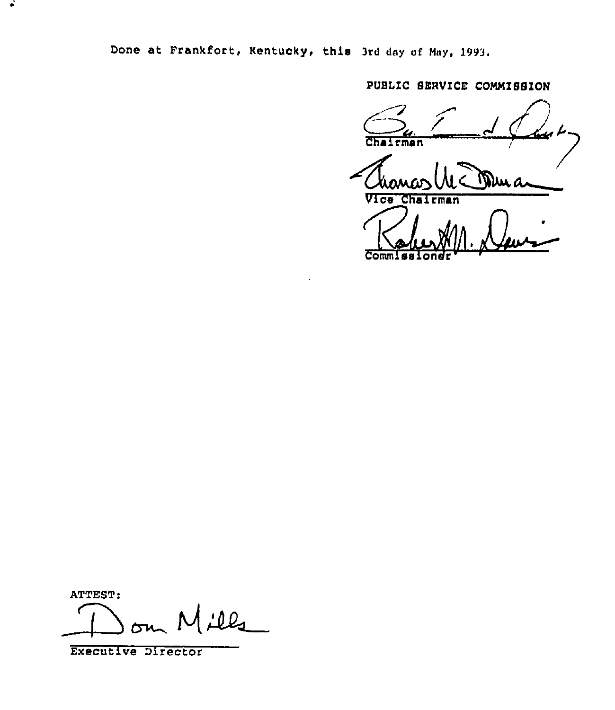Done at Frankfort, Kentucky, this 3rd day cf Nay, 1993.

PUBLIC SERVICE COMMISSION

الكتفا Chairman )un a Vice Chairman Kolum 11.

ATTEST:

 $\bullet$ 

م ۱۵.

Executive Director